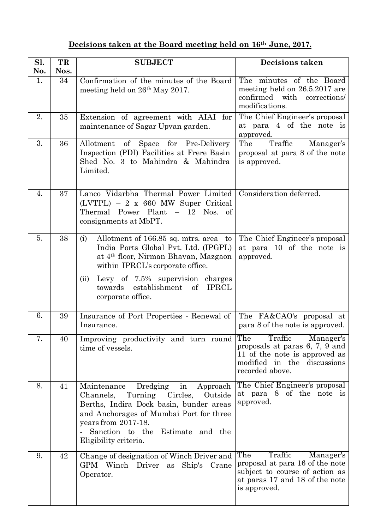## **Decisions taken at the Board meeting held on 16th June, 2017.**

| Sl.<br>No. | TR<br>Nos. | <b>SUBJECT</b>                                                                                                                                                                                                                                                                               | <b>Decisions taken</b>                                                                                                                             |
|------------|------------|----------------------------------------------------------------------------------------------------------------------------------------------------------------------------------------------------------------------------------------------------------------------------------------------|----------------------------------------------------------------------------------------------------------------------------------------------------|
| 1.         | 34         | Confirmation of the minutes of the Board<br>meeting held on 26 <sup>th</sup> May 2017.                                                                                                                                                                                                       | The minutes of the Board<br>meeting held on 26.5.2017 are<br>confirmed with corrections/<br>modifications.                                         |
| 2.         | 35         | Extension of agreement with AIAI for<br>maintenance of Sagar Upvan garden.                                                                                                                                                                                                                   | The Chief Engineer's proposal<br>at para 4 of the note is<br>approved.                                                                             |
| 3.         | 36         | of Space for Pre-Delivery<br>Allotment<br>Inspection (PDI) Facilities at Frere Basin<br>Shed No. 3 to Mahindra & Mahindra<br>Limited.                                                                                                                                                        | Traffic<br>The<br>Manager's<br>proposal at para 8 of the note<br>is approved.                                                                      |
| 4.         | 37         | Lanco Vidarbha Thermal Power Limited<br>$(LVTPL) - 2 \times 660$ MW Super Critical<br>Thermal Power Plant - 12 Nos. of<br>consignments at MbPT.                                                                                                                                              | Consideration deferred.                                                                                                                            |
| 5.         | 38         | Allotment of 166.85 sq. mtrs. area to<br>(i)<br>India Ports Global Pvt. Ltd. (IPGPL)<br>at 4 <sup>th</sup> floor, Nirman Bhavan, Mazgaon<br>within IPRCL's corporate office.<br>Levy of 7.5% supervision charges<br>(ii)<br>establishment of<br><b>IPRCL</b><br>towards<br>corporate office. | The Chief Engineer's proposal<br>at para 10 of the note is<br>approved.                                                                            |
| 6.         | 39         | Insurance of Port Properties - Renewal of<br>Insurance.                                                                                                                                                                                                                                      | The FA&CAO's proposal at<br>para 8 of the note is approved.                                                                                        |
| 7.         | 40         | Improving productivity and turn round The Traffic Manager's<br>time of vessels.                                                                                                                                                                                                              | proposals at paras 6, 7, 9 and<br>11 of the note is approved as<br>modified in the discussions<br>recorded above.                                  |
| 8.         | 41         | Dredging<br>Approach<br>Maintenance<br>in<br>Turning Circles,<br>Outside<br>Channels,<br>Berths, Indira Dock basin, bunder areas<br>and Anchorages of Mumbai Port for three<br>years from 2017-18.<br>Sanction to the<br>Estimate and the<br>Eligibility criteria.                           | The Chief Engineer's proposal<br>at para 8 of the note is<br>approved.                                                                             |
| 9.         | 42         | Change of designation of Winch Driver and<br>GPM Winch Driver<br>as Ship's Crane<br>Operator.                                                                                                                                                                                                | The<br>Traffic<br>Manager's<br>proposal at para 16 of the note<br>subject to course of action as<br>at paras 17 and 18 of the note<br>is approved. |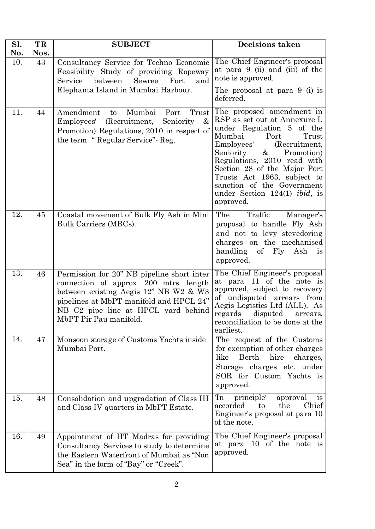| Sl. | TR   | <b>SUBJECT</b>                                                                                                                                                                                                                                        | Decisions taken                                                                                                                                                                                                                                                                                                                                                          |
|-----|------|-------------------------------------------------------------------------------------------------------------------------------------------------------------------------------------------------------------------------------------------------------|--------------------------------------------------------------------------------------------------------------------------------------------------------------------------------------------------------------------------------------------------------------------------------------------------------------------------------------------------------------------------|
| No. | Nos. |                                                                                                                                                                                                                                                       |                                                                                                                                                                                                                                                                                                                                                                          |
| 10. | 43   | Consultancy Service for Techno Economic<br>Feasibility Study of providing Ropeway<br>Service<br>between<br>Sewree<br>Fort<br>and<br>Elephanta Island in Mumbai Harbour.                                                                               | The Chief Engineer's proposal<br>at para 9 (ii) and (iii) of the<br>note is approved.<br>The proposal at para 9 (i) is<br>deferred.                                                                                                                                                                                                                                      |
| 11. | 44   | Amendment<br>Mumbai<br>Port<br>Trust<br>$\mathbf{t}$<br>$\&$<br>Employees' (Recruitment,<br>Seniority<br>Promotion) Regulations, 2010 in respect of<br>the term "Regular Service" Reg.                                                                | The proposed amendment in<br>RSP as set out at Annexure I,<br>under Regulation 5 of the<br>Mumbai<br>Port<br>Trust<br>Employees'<br>(Recruitment,<br>Seniority<br>$\&$<br>Promotion)<br>Regulations, 2010 read with<br>Section 28 of the Major Port<br>Trusts Act 1963, subject to<br>sanction of the Government<br>under Section $124(1)$ <i>ibid</i> , is<br>approved. |
| 12. | 45   | Coastal movement of Bulk Fly Ash in Mini<br>Bulk Carriers (MBCs).                                                                                                                                                                                     | The<br>Traffic<br>Manager's<br>proposal to handle Fly Ash<br>and not to levy stevedoring<br>charges on the mechanised<br>handling of Fly Ash<br>1S<br>approved.                                                                                                                                                                                                          |
| 13. | 46   | Permission for 20" NB pipeline short inter<br>connection of approx. 200 mtrs. length<br>between existing Aegis 12" NB W2 & W3<br>pipelines at MbPT manifold and HPCL 24"<br>NB C <sub>2</sub> pipe line at HPCL yard behind<br>MbPT Pir Pau manifold. | The Chief Engineer's proposal<br>at para 11 of the note is<br>approved, subject to recovery<br>of undisputed arrears from<br>Aegis Logistics Ltd (ALL). As<br>regards disputed<br>arrears,<br>reconciliation to be done at the<br>earliest.                                                                                                                              |
| 14. | 47   | Monsoon storage of Customs Yachts inside<br>Mumbai Port.                                                                                                                                                                                              | The request of the Customs<br>for exemption of other charges<br>like<br>Berth<br>hire<br>charges,<br>Storage charges etc. under<br>SOR for Custom Yachts is<br>approved.                                                                                                                                                                                                 |
| 15. | 48   | Consolidation and upgradation of Class III<br>and Class IV quarters in MbPT Estate.                                                                                                                                                                   | 'In<br>principle'<br>approval<br>1S<br>Chief<br>accorded<br>the<br>to<br>Engineer's proposal at para 10<br>of the note.                                                                                                                                                                                                                                                  |
| 16. | 49   | Appointment of IIT Madras for providing<br>Consultancy Services to study to determine<br>the Eastern Waterfront of Mumbai as "Non<br>Sea" in the form of "Bay" or "Creek".                                                                            | The Chief Engineer's proposal<br>at para 10 of the note is<br>approved.                                                                                                                                                                                                                                                                                                  |